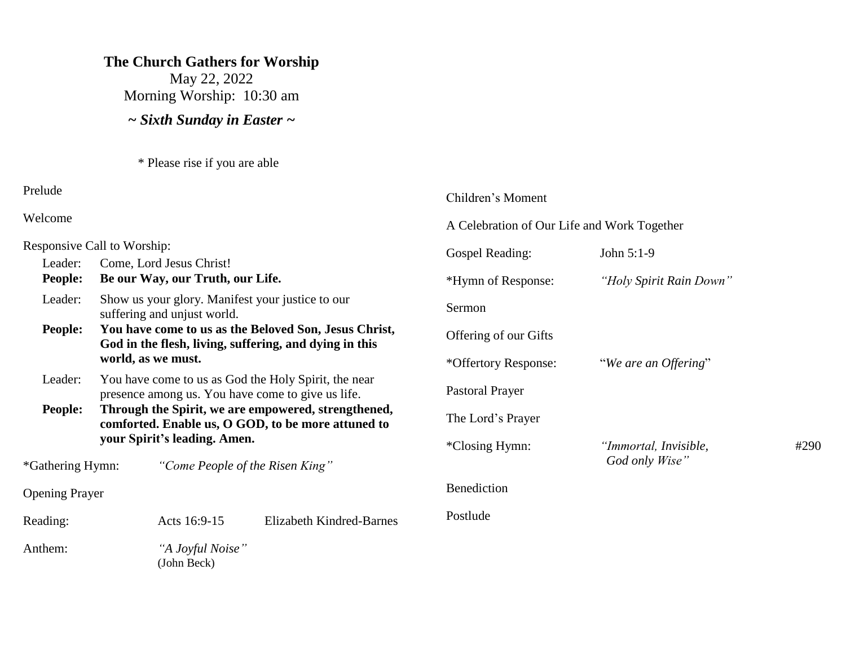#### **The Church Gathers for Worship**

May 22, 2022 Morning Worship: 10:30 am

*~ Sixth Sunday in Easter ~*

\* Please rise if you are able

Prelude

Welcome

Responsive Call to Worship: Leader: Come, Lord Jesus Christ! **People: Be our Way, our Truth, our Life.** Leader: Show us your glory. Manifest your justice to our suffering and unjust world. **People: You have come to us as the Beloved Son, Jesus Christ, God in the flesh, living, suffering, and dying in this world, as we must.** Leader: You have come to us as God the Holy Spirit, the near presence among us. You have come to give us life. **People: Through the Spirit, we are empowered, strengthened, comforted. Enable us, O GOD, to be more attuned to your Spirit's leading. Amen.** \*Gathering Hymn: *"Come People of the Risen King"* Opening Prayer Reading: Acts 16:9-15 Elizabeth Kindred-Barnes Anthem: *"A Joyful Noise"* (John Beck) A Celebration of Our Life and Work Together Gospel Reading: John 5:1-9 \*Hymn of Response: *"Holy Spirit Rain Down"* Sermon Offering of our Gifts \*Offertory Response: "*We are an Offering*" Pastoral Prayer The Lord's Prayer \*Closing Hymn: *"Immortal, Invisible,* #290  *God only Wise"* **Benediction** Postlude

Children's Moment